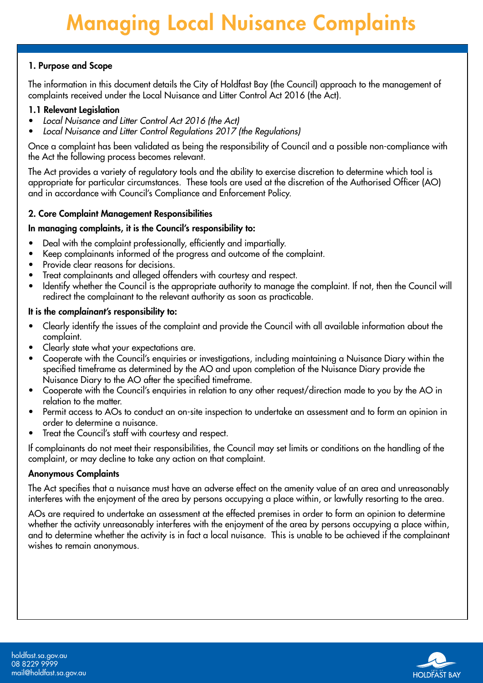## 1. Purpose and Scope

The information in this document details the City of Holdfast Bay (the Council) approach to the management of complaints received under the Local Nuisance and Litter Control Act 2016 (the Act).

#### 1.1 Relevant Legislation

- Local Nuisance and Litter Control Act 2016 (the Act)
- Local Nuisance and Litter Control Regulations 2017 (the Regulations)

Once a complaint has been validated as being the responsibility of Council and a possible non-compliance with the Act the following process becomes relevant.

The Act provides a variety of regulatory tools and the ability to exercise discretion to determine which tool is appropriate for particular circumstances. These tools are used at the discretion of the Authorised Officer (AO) and in accordance with Council's Compliance and Enforcement Policy.

#### 2. Core Complaint Management Responsibilities

#### In managing complaints, it is the Council's responsibility to:

- Deal with the complaint professionally, efficiently and impartially.
- Keep complainants informed of the progress and outcome of the complaint.
- Provide clear reasons for decisions.
- Treat complainants and alleged offenders with courtesy and respect.
- Identify whether the Council is the appropriate authority to manage the complaint. If not, then the Council will redirect the complainant to the relevant authority as soon as practicable.

#### It is the complainant's responsibility to:

- Clearly identify the issues of the complaint and provide the Council with all available information about the complaint.
- Clearly state what your expectations are.
- Cooperate with the Council's enquiries or investigations, including maintaining a Nuisance Diary within the specified timeframe as determined by the AO and upon completion of the Nuisance Diary provide the Nuisance Diary to the AO after the specified timeframe.
- Cooperate with the Council's enquiries in relation to any other request/direction made to you by the AO in relation to the matter.
- Permit access to AOs to conduct an on-site inspection to undertake an assessment and to form an opinion in order to determine a nuisance.
- Treat the Council's staff with courtesy and respect.

If complainants do not meet their responsibilities, the Council may set limits or conditions on the handling of the complaint, or may decline to take any action on that complaint.

#### Anonymous Complaints

The Act specifies that a nuisance must have an adverse effect on the amenity value of an area and unreasonably interferes with the enjoyment of the area by persons occupying a place within, or lawfully resorting to the area.

AOs are required to undertake an assessment at the effected premises in order to form an opinion to determine whether the activity unreasonably interferes with the enjoyment of the area by persons occupying a place within, and to determine whether the activity is in fact a local nuisance. This is unable to be achieved if the complainant wishes to remain anonymous.

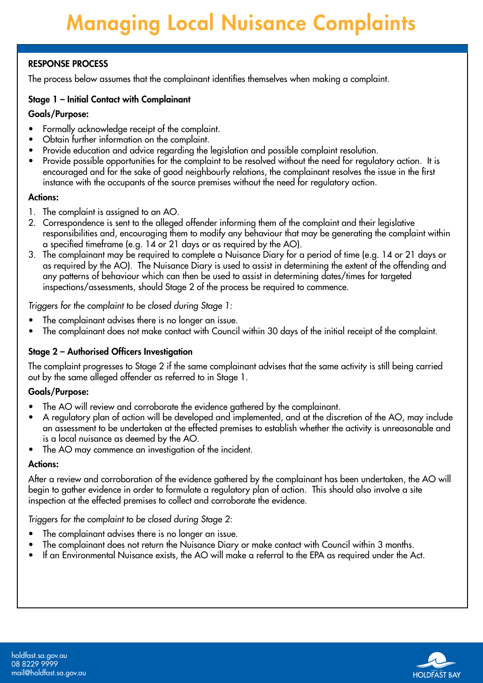## RESPONSE PROCESS

The process below assumes that the complainant identifies themselves when making a complaint.

#### Stage 1 – Initial Contact with Complainant

#### Goals/Purpose:

- Formally acknowledge receipt of the complaint.
- Obtain further information on the complaint.
- Provide education and advice regarding the legislation and possible complaint resolution.
- Provide possible opportunities for the complaint to be resolved without the need for regulatory action. It is encouraged and for the sake of good neighbourly relations, the complainant resolves the issue in the first instance with the occupants of the source premises without the need for regulatory action.

#### Actions:

- 1. The complaint is assigned to an AO.
- 2. Correspondence is sent to the alleged offender informing them of the complaint and their legislative responsibilities and, encouraging them to modify any behaviour that may be generating the complaint within a specified timeframe (e.g. 14 or 21 days or as required by the AO).
- 3. The complainant may be required to complete a Nuisance Diary for a period of time (e.g. 14 or 21 days or as required by the AO). The Nuisance Diary is used to assist in determining the extent of the offending and any patterns of behaviour which can then be used to assist in determining dates/times for targeted inspections/assessments, should Stage 2 of the process be required to commence.

Triggers for the complaint to be closed during Stage 1:

- The complainant advises there is no longer an issue.
- The complainant does not make contact with Council within 30 days of the initial receipt of the complaint.

## Stage 2 – Authorised Officers Investigation

The complaint progresses to Stage 2 if the same complainant advises that the same activity is still being carried out by the same alleged offender as referred to in Stage 1.

## Goals/Purpose:

- The AO will review and corroborate the evidence gathered by the complainant.
- A regulatory plan of action will be developed and implemented, and at the discretion of the AO, may include an assessment to be undertaken at the effected premises to establish whether the activity is unreasonable and is a local nuisance as deemed by the AO.
- The AO may commence an investigation of the incident.

#### Actions:

After a review and corroboration of the evidence gathered by the complainant has been undertaken, the AO will begin to gather evidence in order to formulate a regulatory plan of action. This should also involve a site inspection at the effected premises to collect and corroborate the evidence.

Triggers for the complaint to be closed during Stage 2:

- The complainant advises there is no longer an issue.
- The complainant does not return the Nuisance Diary or make contact with Council within 3 months.
- If an Environmental Nuisance exists, the AO will make a referral to the EPA as required under the Act.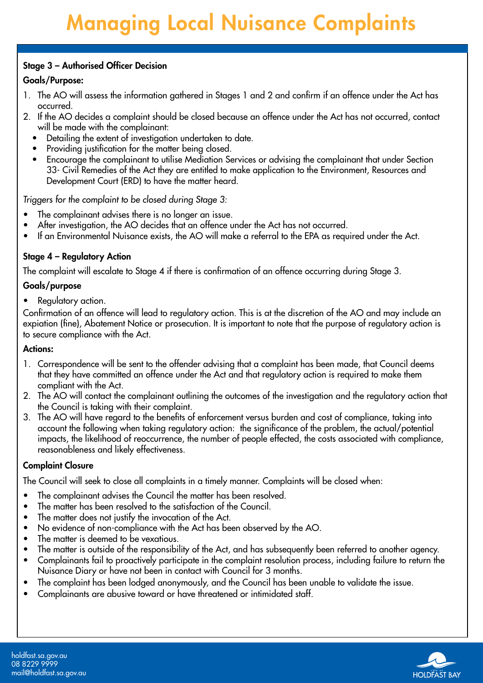## Stage 3 – Authorised Officer Decision

## Goals/Purpose:

- 1. The AO will assess the information gathered in Stages 1 and 2 and confirm if an offence under the Act has occurred.
- 2. If the AO decides a complaint should be closed because an offence under the Act has not occurred, contact will be made with the complainant:
	- Detailing the extent of investigation undertaken to date.
	- Providing justification for the matter being closed.
	- Encourage the complainant to utilise Mediation Services or advising the complainant that under Section 33- Civil Remedies of the Act they are entitled to make application to the Environment, Resources and Development Court (ERD) to have the matter heard.

Triggers for the complaint to be closed during Stage 3:

- The complainant advises there is no longer an issue.
- After investigation, the AO decides that an offence under the Act has not occurred.
- If an Environmental Nuisance exists, the AO will make a referral to the EPA as required under the Act.

## Stage 4 – Regulatory Action

The complaint will escalate to Stage 4 if there is confirmation of an offence occurring during Stage 3.

## Goals/purpose

• Regulatory action.

Confirmation of an offence will lead to regulatory action. This is at the discretion of the AO and may include an expiation (fine), Abatement Notice or prosecution. It is important to note that the purpose of regulatory action is to secure compliance with the Act.

## Actions:

- 1. Correspondence will be sent to the offender advising that a complaint has been made, that Council deems that they have committed an offence under the Act and that regulatory action is required to make them compliant with the Act.
- 2. The AO will contact the complainant outlining the outcomes of the investigation and the regulatory action that the Council is taking with their complaint.
- 3. The AO will have regard to the benefits of enforcement versus burden and cost of compliance, taking into account the following when taking regulatory action: the significance of the problem, the actual/potential impacts, the likelihood of reoccurrence, the number of people effected, the costs associated with compliance, reasonableness and likely effectiveness.

## Complaint Closure

The Council will seek to close all complaints in a timely manner. Complaints will be closed when:

- The complainant advises the Council the matter has been resolved.
- The matter has been resolved to the satisfaction of the Council.
- The matter does not justify the invocation of the Act.
- No evidence of non-compliance with the Act has been observed by the AO.
- The matter is deemed to be vexatious.
- The matter is outside of the responsibility of the Act, and has subsequently been referred to another agency.
- Complainants fail to proactively participate in the complaint resolution process, including failure to return the Nuisance Diary or have not been in contact with Council for 3 months.
- The complaint has been lodged anonymously, and the Council has been unable to validate the issue.
- Complainants are abusive toward or have threatened or intimidated staff.